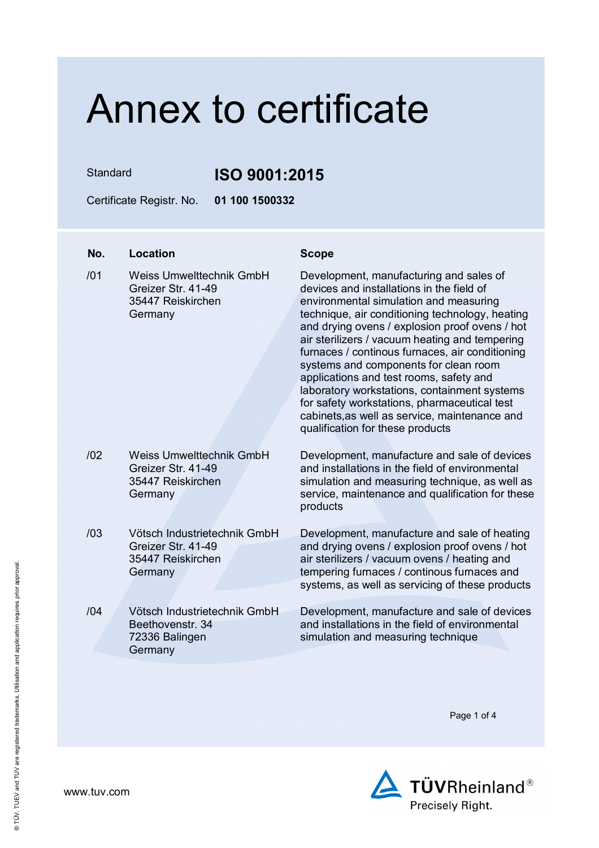Standard **ISO 9001:2015**

Certificate Registr. No. **01 100 1500332** 

### **No. Location Scope**

/01 Weiss Umwelttechnik GmbH Greizer Str. 41-49 35447 Reiskirchen **Germany** 

/02 Weiss Umwelttechnik GmbH Greizer Str. 41-49 35447 Reiskirchen

/03 Vötsch Industrietechnik GmbH Greizer Str. 41-49 35447 Reiskirchen

/04 Vötsch Industrietechnik GmbH Beethovenstr. 34 72336 Balingen

Germany

Germany

Germany

Development, manufacturing and sales of devices and installations in the field of environmental simulation and measuring technique, air conditioning technology, heating and drying ovens / explosion proof ovens / hot air sterilizers / vacuum heating and tempering furnaces / continous furnaces, air conditioning systems and components for clean room applications and test rooms, safety and laboratory workstations, containment systems for safety workstations, pharmaceutical test cabinets,as well as service, maintenance and qualification for these products

Development, manufacture and sale of devices and installations in the field of environmental simulation and measuring technique, as well as service, maintenance and qualification for these products

Development, manufacture and sale of heating and drying ovens / explosion proof ovens / hot air sterilizers / vacuum ovens / heating and tempering furnaces / continous furnaces and systems, as well as servicing of these products

Development, manufacture and sale of devices and installations in the field of environmental simulation and measuring technique

Page 1 of 4



www.tuv.com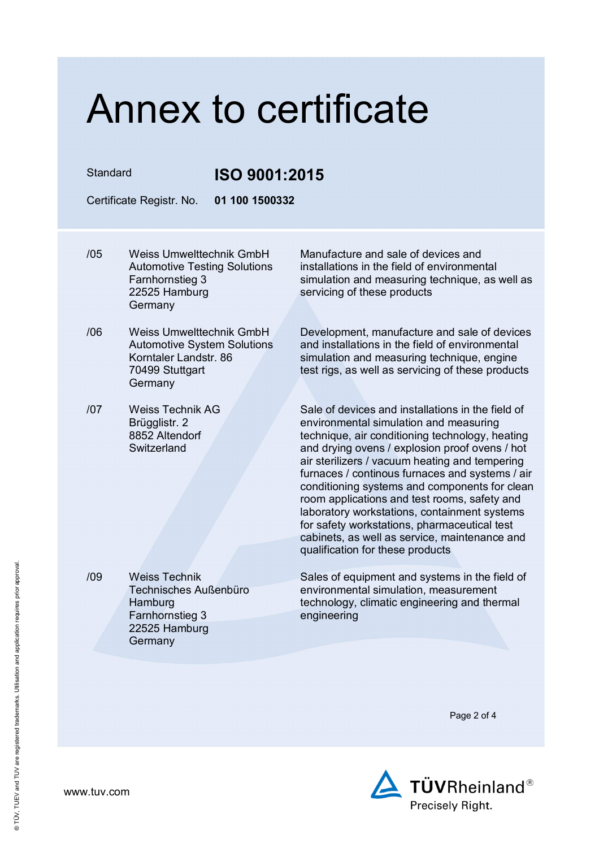Standard **ISO 9001:2015**

Certificate Registr. No. **01 100 1500332** 

- /05 Weiss Umwelttechnik GmbH Automotive Testing Solutions Farnhornstieg 3 22525 Hamburg Germany
- /06 Weiss Umwelttechnik GmbH Automotive System Solutions Korntaler Landstr. 86 70499 Stuttgart Germany
- /07 Weiss Technik AG Brügglistr. 2 8852 Altendorf **Switzerland**

/09 Weiss Technik

**Hamburg** 

**Germany** 

Farnhornstieg 3 22525 Hamburg

Technisches Außenbüro

Manufacture and sale of devices and installations in the field of environmental simulation and measuring technique, as well as servicing of these products

Development, manufacture and sale of devices and installations in the field of environmental simulation and measuring technique, engine test rigs, as well as servicing of these products

Sale of devices and installations in the field of environmental simulation and measuring technique, air conditioning technology, heating and drying ovens / explosion proof ovens / hot air sterilizers / vacuum heating and tempering furnaces / continous furnaces and systems / air conditioning systems and components for clean room applications and test rooms, safety and laboratory workstations, containment systems for safety workstations, pharmaceutical test cabinets, as well as service, maintenance and qualification for these products

Sales of equipment and systems in the field of environmental simulation, measurement technology, climatic engineering and thermal engineering

Page 2 of 4

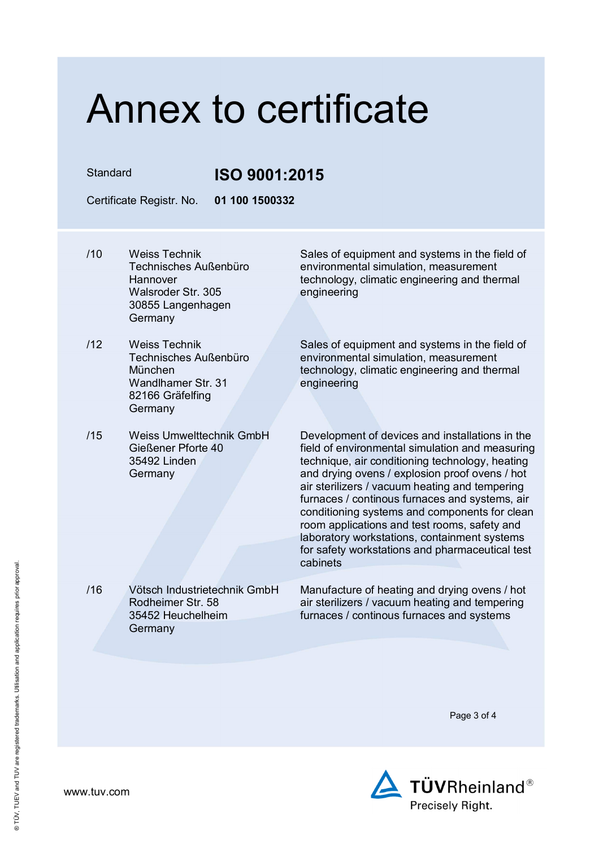### Standard **ISO 9001:2015**

Certificate Registr. No. **01 100 1500332** 

- /10 Weiss Technik Technisches Außenbüro **Hannover** Walsroder Str. 305 30855 Langenhagen Germany
- /12 Weiss Technik Technisches Außenbüro München Wandlhamer Str. 31 82166 Gräfelfing **Germany**
- /15 Weiss Umwelttechnik GmbH Gießener Pforte 40 35492 Linden Germany

/16 Vötsch Industrietechnik GmbH Rodheimer Str. 58 35452 Heuchelheim

**Germany** 

Sales of equipment and systems in the field of environmental simulation, measurement technology, climatic engineering and thermal engineering

Sales of equipment and systems in the field of environmental simulation, measurement technology, climatic engineering and thermal engineering

Development of devices and installations in the field of environmental simulation and measuring technique, air conditioning technology, heating and drying ovens / explosion proof ovens / hot air sterilizers / vacuum heating and tempering furnaces / continous furnaces and systems, air conditioning systems and components for clean room applications and test rooms, safety and laboratory workstations, containment systems for safety workstations and pharmaceutical test cabinets

Manufacture of heating and drying ovens / hot air sterilizers / vacuum heating and tempering furnaces / continous furnaces and systems

Page 3 of 4